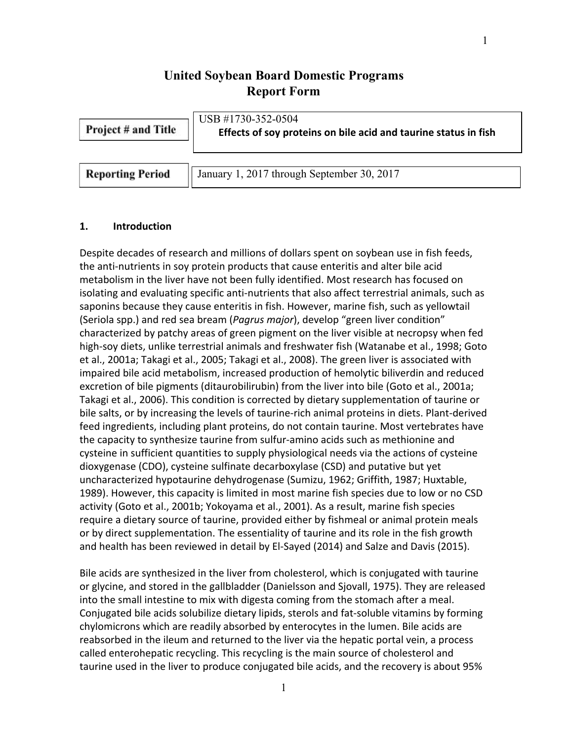# **United Soybean Board Domestic Programs Report Form**

| <b>Project # and Title</b> | USB #1730-352-0504<br>Effects of soy proteins on bile acid and taurine status in fish |  |  |  |
|----------------------------|---------------------------------------------------------------------------------------|--|--|--|
| <b>Reporting Period</b>    | January 1, 2017 through September 30, 2017                                            |  |  |  |

## **1. Introduction**

Despite decades of research and millions of dollars spent on soybean use in fish feeds, the anti-nutrients in soy protein products that cause enteritis and alter bile acid metabolism in the liver have not been fully identified. Most research has focused on isolating and evaluating specific anti-nutrients that also affect terrestrial animals, such as saponins because they cause enteritis in fish. However, marine fish, such as yellowtail (Seriola spp.) and red sea bream (*Pagrus major*), develop "green liver condition" characterized by patchy areas of green pigment on the liver visible at necropsy when fed high-soy diets, unlike terrestrial animals and freshwater fish (Watanabe et al., 1998; Goto et al., 2001a; Takagi et al., 2005; Takagi et al., 2008). The green liver is associated with impaired bile acid metabolism, increased production of hemolytic biliverdin and reduced excretion of bile pigments (ditaurobilirubin) from the liver into bile (Goto et al., 2001a; Takagi et al., 2006). This condition is corrected by dietary supplementation of taurine or bile salts, or by increasing the levels of taurine-rich animal proteins in diets. Plant-derived feed ingredients, including plant proteins, do not contain taurine. Most vertebrates have the capacity to synthesize taurine from sulfur-amino acids such as methionine and cysteine in sufficient quantities to supply physiological needs via the actions of cysteine dioxygenase (CDO), cysteine sulfinate decarboxylase (CSD) and putative but yet uncharacterized hypotaurine dehydrogenase (Sumizu, 1962; Griffith, 1987; Huxtable, 1989). However, this capacity is limited in most marine fish species due to low or no CSD activity (Goto et al., 2001b; Yokoyama et al., 2001). As a result, marine fish species require a dietary source of taurine, provided either by fishmeal or animal protein meals or by direct supplementation. The essentiality of taurine and its role in the fish growth and health has been reviewed in detail by El-Sayed (2014) and Salze and Davis (2015).

Bile acids are synthesized in the liver from cholesterol, which is conjugated with taurine or glycine, and stored in the gallbladder (Danielsson and Sjovall, 1975). They are released into the small intestine to mix with digesta coming from the stomach after a meal. Conjugated bile acids solubilize dietary lipids, sterols and fat-soluble vitamins by forming chylomicrons which are readily absorbed by enterocytes in the lumen. Bile acids are reabsorbed in the ileum and returned to the liver via the hepatic portal vein, a process called enterohepatic recycling. This recycling is the main source of cholesterol and taurine used in the liver to produce conjugated bile acids, and the recovery is about 95%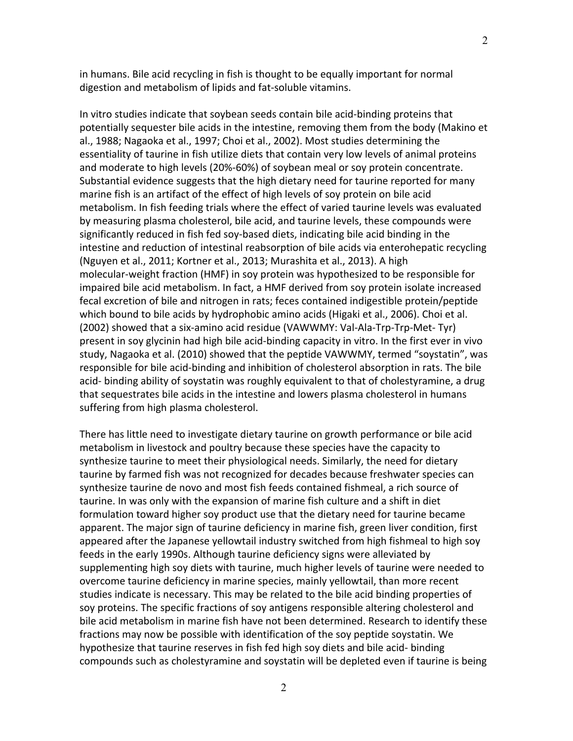in humans. Bile acid recycling in fish is thought to be equally important for normal digestion and metabolism of lipids and fat-soluble vitamins.

In vitro studies indicate that soybean seeds contain bile acid-binding proteins that potentially sequester bile acids in the intestine, removing them from the body (Makino et al., 1988; Nagaoka et al., 1997; Choi et al., 2002). Most studies determining the essentiality of taurine in fish utilize diets that contain very low levels of animal proteins and moderate to high levels (20%-60%) of soybean meal or soy protein concentrate. Substantial evidence suggests that the high dietary need for taurine reported for many marine fish is an artifact of the effect of high levels of soy protein on bile acid metabolism. In fish feeding trials where the effect of varied taurine levels was evaluated by measuring plasma cholesterol, bile acid, and taurine levels, these compounds were significantly reduced in fish fed soy-based diets, indicating bile acid binding in the intestine and reduction of intestinal reabsorption of bile acids via enterohepatic recycling (Nguyen et al., 2011; Kortner et al., 2013; Murashita et al., 2013). A high molecular-weight fraction (HMF) in soy protein was hypothesized to be responsible for impaired bile acid metabolism. In fact, a HMF derived from soy protein isolate increased fecal excretion of bile and nitrogen in rats; feces contained indigestible protein/peptide which bound to bile acids by hydrophobic amino acids (Higaki et al., 2006). Choi et al. (2002) showed that a six-amino acid residue (VAWWMY: Val-Ala-Trp-Trp-Met- Tyr) present in soy glycinin had high bile acid-binding capacity in vitro. In the first ever in vivo study, Nagaoka et al. (2010) showed that the peptide VAWWMY, termed "soystatin", was responsible for bile acid-binding and inhibition of cholesterol absorption in rats. The bile acid- binding ability of soystatin was roughly equivalent to that of cholestyramine, a drug that sequestrates bile acids in the intestine and lowers plasma cholesterol in humans suffering from high plasma cholesterol.

There has little need to investigate dietary taurine on growth performance or bile acid metabolism in livestock and poultry because these species have the capacity to synthesize taurine to meet their physiological needs. Similarly, the need for dietary taurine by farmed fish was not recognized for decades because freshwater species can synthesize taurine de novo and most fish feeds contained fishmeal, a rich source of taurine. In was only with the expansion of marine fish culture and a shift in diet formulation toward higher soy product use that the dietary need for taurine became apparent. The major sign of taurine deficiency in marine fish, green liver condition, first appeared after the Japanese yellowtail industry switched from high fishmeal to high soy feeds in the early 1990s. Although taurine deficiency signs were alleviated by supplementing high soy diets with taurine, much higher levels of taurine were needed to overcome taurine deficiency in marine species, mainly yellowtail, than more recent studies indicate is necessary. This may be related to the bile acid binding properties of soy proteins. The specific fractions of soy antigens responsible altering cholesterol and bile acid metabolism in marine fish have not been determined. Research to identify these fractions may now be possible with identification of the soy peptide soystatin. We hypothesize that taurine reserves in fish fed high soy diets and bile acid- binding compounds such as cholestyramine and soystatin will be depleted even if taurine is being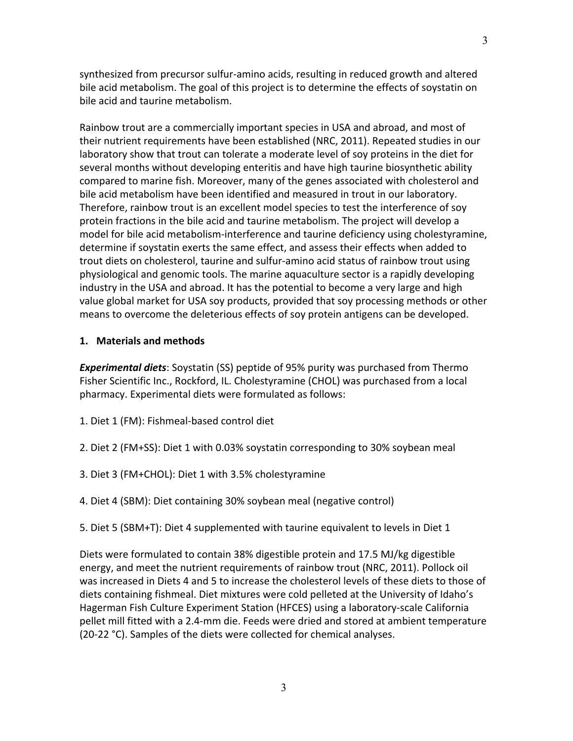synthesized from precursor sulfur-amino acids, resulting in reduced growth and altered bile acid metabolism. The goal of this project is to determine the effects of soystatin on bile acid and taurine metabolism.

Rainbow trout are a commercially important species in USA and abroad, and most of their nutrient requirements have been established (NRC, 2011). Repeated studies in our laboratory show that trout can tolerate a moderate level of soy proteins in the diet for several months without developing enteritis and have high taurine biosynthetic ability compared to marine fish. Moreover, many of the genes associated with cholesterol and bile acid metabolism have been identified and measured in trout in our laboratory. Therefore, rainbow trout is an excellent model species to test the interference of soy protein fractions in the bile acid and taurine metabolism. The project will develop a model for bile acid metabolism-interference and taurine deficiency using cholestyramine, determine if soystatin exerts the same effect, and assess their effects when added to trout diets on cholesterol, taurine and sulfur-amino acid status of rainbow trout using physiological and genomic tools. The marine aquaculture sector is a rapidly developing industry in the USA and abroad. It has the potential to become a very large and high value global market for USA soy products, provided that soy processing methods or other means to overcome the deleterious effects of soy protein antigens can be developed.

## **1. Materials and methods**

*Experimental diets*: Soystatin (SS) peptide of 95% purity was purchased from Thermo Fisher Scientific Inc., Rockford, IL. Cholestyramine (CHOL) was purchased from a local pharmacy. Experimental diets were formulated as follows:

- 1. Diet 1 (FM): Fishmeal-based control diet
- 2. Diet 2 (FM+SS): Diet 1 with 0.03% soystatin corresponding to 30% soybean meal
- 3. Diet 3 (FM+CHOL): Diet 1 with 3.5% cholestyramine
- 4. Diet 4 (SBM): Diet containing 30% soybean meal (negative control)
- 5. Diet 5 (SBM+T): Diet 4 supplemented with taurine equivalent to levels in Diet 1

Diets were formulated to contain 38% digestible protein and 17.5 MJ/kg digestible energy, and meet the nutrient requirements of rainbow trout (NRC, 2011). Pollock oil was increased in Diets 4 and 5 to increase the cholesterol levels of these diets to those of diets containing fishmeal. Diet mixtures were cold pelleted at the University of Idaho's Hagerman Fish Culture Experiment Station (HFCES) using a laboratory-scale California pellet mill fitted with a 2.4-mm die. Feeds were dried and stored at ambient temperature (20-22 °C). Samples of the diets were collected for chemical analyses.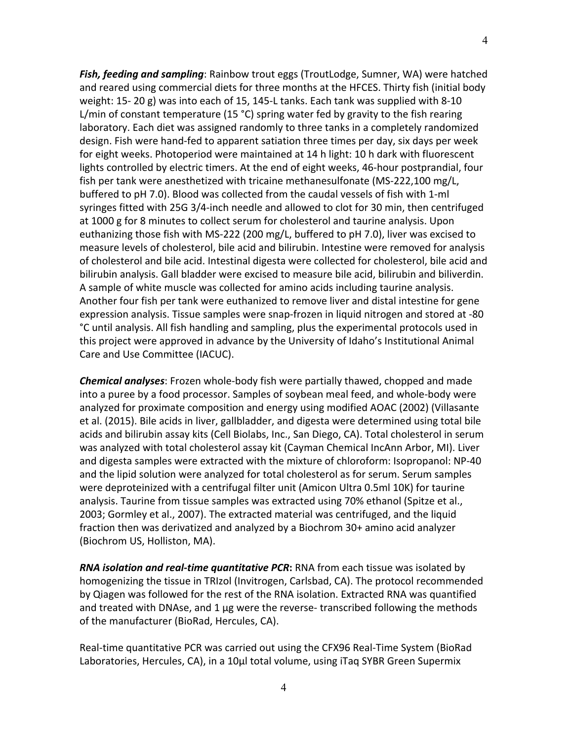*Fish, feeding and sampling*: Rainbow trout eggs (TroutLodge, Sumner, WA) were hatched and reared using commercial diets for three months at the HFCES. Thirty fish (initial body weight: 15- 20 g) was into each of 15, 145-L tanks. Each tank was supplied with 8-10 L/min of constant temperature (15 °C) spring water fed by gravity to the fish rearing laboratory. Each diet was assigned randomly to three tanks in a completely randomized design. Fish were hand-fed to apparent satiation three times per day, six days per week for eight weeks. Photoperiod were maintained at 14 h light: 10 h dark with fluorescent lights controlled by electric timers. At the end of eight weeks, 46-hour postprandial, four fish per tank were anesthetized with tricaine methanesulfonate (MS-222,100 mg/L, buffered to pH 7.0). Blood was collected from the caudal vessels of fish with 1-ml syringes fitted with 25G 3/4-inch needle and allowed to clot for 30 min, then centrifuged at 1000 g for 8 minutes to collect serum for cholesterol and taurine analysis. Upon euthanizing those fish with MS-222 (200 mg/L, buffered to pH 7.0), liver was excised to measure levels of cholesterol, bile acid and bilirubin. Intestine were removed for analysis of cholesterol and bile acid. Intestinal digesta were collected for cholesterol, bile acid and bilirubin analysis. Gall bladder were excised to measure bile acid, bilirubin and biliverdin. A sample of white muscle was collected for amino acids including taurine analysis. Another four fish per tank were euthanized to remove liver and distal intestine for gene expression analysis. Tissue samples were snap-frozen in liquid nitrogen and stored at -80 °C until analysis. All fish handling and sampling, plus the experimental protocols used in this project were approved in advance by the University of Idaho's Institutional Animal Care and Use Committee (IACUC).

*Chemical analyses*: Frozen whole-body fish were partially thawed, chopped and made into a puree by a food processor. Samples of soybean meal feed, and whole-body were analyzed for proximate composition and energy using modified AOAC (2002) (Villasante et al. (2015). Bile acids in liver, gallbladder, and digesta were determined using total bile acids and bilirubin assay kits (Cell Biolabs, Inc., San Diego, CA). Total cholesterol in serum was analyzed with total cholesterol assay kit (Cayman Chemical IncAnn Arbor, MI). Liver and digesta samples were extracted with the mixture of chloroform: Isopropanol: NP-40 and the lipid solution were analyzed for total cholesterol as for serum. Serum samples were deproteinized with a centrifugal filter unit (Amicon Ultra 0.5ml 10K) for taurine analysis. Taurine from tissue samples was extracted using 70% ethanol (Spitze et al., 2003; Gormley et al., 2007). The extracted material was centrifuged, and the liquid fraction then was derivatized and analyzed by a Biochrom 30+ amino acid analyzer (Biochrom US, Holliston, MA).

*RNA isolation and real-time quantitative PCR***:** RNA from each tissue was isolated by homogenizing the tissue in TRIzol (Invitrogen, Carlsbad, CA). The protocol recommended by Qiagen was followed for the rest of the RNA isolation. Extracted RNA was quantified and treated with DNAse, and 1 μg were the reverse- transcribed following the methods of the manufacturer (BioRad, Hercules, CA).

Real-time quantitative PCR was carried out using the CFX96 Real-Time System (BioRad Laboratories, Hercules, CA), in a 10μl total volume, using iTaq SYBR Green Supermix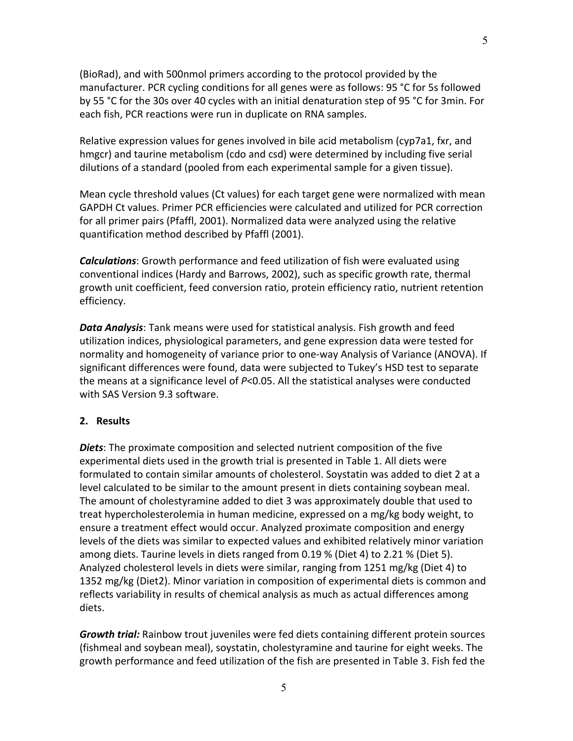(BioRad), and with 500nmol primers according to the protocol provided by the manufacturer. PCR cycling conditions for all genes were as follows: 95 °C for 5s followed by 55 °C for the 30s over 40 cycles with an initial denaturation step of 95 °C for 3min. For each fish, PCR reactions were run in duplicate on RNA samples.

Relative expression values for genes involved in bile acid metabolism (cyp7a1, fxr, and hmgcr) and taurine metabolism (cdo and csd) were determined by including five serial dilutions of a standard (pooled from each experimental sample for a given tissue).

Mean cycle threshold values (Ct values) for each target gene were normalized with mean GAPDH Ct values. Primer PCR efficiencies were calculated and utilized for PCR correction for all primer pairs (Pfaffl, 2001). Normalized data were analyzed using the relative quantification method described by Pfaffl (2001).

*Calculations*: Growth performance and feed utilization of fish were evaluated using conventional indices (Hardy and Barrows, 2002), such as specific growth rate, thermal growth unit coefficient, feed conversion ratio, protein efficiency ratio, nutrient retention efficiency.

*Data Analysis*: Tank means were used for statistical analysis. Fish growth and feed utilization indices, physiological parameters, and gene expression data were tested for normality and homogeneity of variance prior to one-way Analysis of Variance (ANOVA). If significant differences were found, data were subjected to Tukey's HSD test to separate the means at a significance level of *P*<0.05. All the statistical analyses were conducted with SAS Version 9.3 software.

### **2. Results**

*Diets*: The proximate composition and selected nutrient composition of the five experimental diets used in the growth trial is presented in Table 1. All diets were formulated to contain similar amounts of cholesterol. Soystatin was added to diet 2 at a level calculated to be similar to the amount present in diets containing soybean meal. The amount of cholestyramine added to diet 3 was approximately double that used to treat hypercholesterolemia in human medicine, expressed on a mg/kg body weight, to ensure a treatment effect would occur. Analyzed proximate composition and energy levels of the diets was similar to expected values and exhibited relatively minor variation among diets. Taurine levels in diets ranged from 0.19 % (Diet 4) to 2.21 % (Diet 5). Analyzed cholesterol levels in diets were similar, ranging from 1251 mg/kg (Diet 4) to 1352 mg/kg (Diet2). Minor variation in composition of experimental diets is common and reflects variability in results of chemical analysis as much as actual differences among diets.

*Growth trial:* Rainbow trout juveniles were fed diets containing different protein sources (fishmeal and soybean meal), soystatin, cholestyramine and taurine for eight weeks. The growth performance and feed utilization of the fish are presented in Table 3. Fish fed the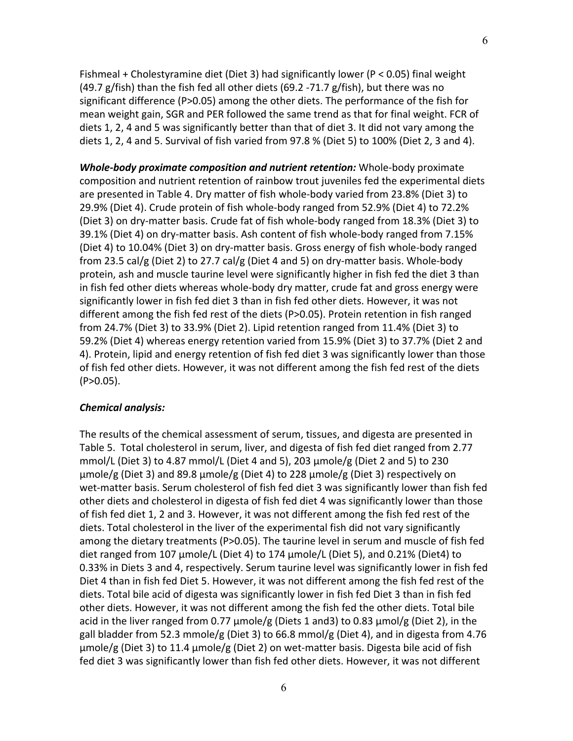Fishmeal + Cholestyramine diet (Diet 3) had significantly lower (P < 0.05) final weight (49.7 g/fish) than the fish fed all other diets (69.2 -71.7 g/fish), but there was no significant difference (P>0.05) among the other diets. The performance of the fish for mean weight gain, SGR and PER followed the same trend as that for final weight. FCR of diets 1, 2, 4 and 5 was significantly better than that of diet 3. It did not vary among the diets 1, 2, 4 and 5. Survival of fish varied from 97.8 % (Diet 5) to 100% (Diet 2, 3 and 4).

*Whole-body proximate composition and nutrient retention:* Whole-body proximate composition and nutrient retention of rainbow trout juveniles fed the experimental diets are presented in Table 4. Dry matter of fish whole-body varied from 23.8% (Diet 3) to 29.9% (Diet 4). Crude protein of fish whole-body ranged from 52.9% (Diet 4) to 72.2% (Diet 3) on dry-matter basis. Crude fat of fish whole-body ranged from 18.3% (Diet 3) to 39.1% (Diet 4) on dry-matter basis. Ash content of fish whole-body ranged from 7.15% (Diet 4) to 10.04% (Diet 3) on dry-matter basis. Gross energy of fish whole-body ranged from 23.5 cal/g (Diet 2) to 27.7 cal/g (Diet 4 and 5) on dry-matter basis. Whole-body protein, ash and muscle taurine level were significantly higher in fish fed the diet 3 than in fish fed other diets whereas whole-body dry matter, crude fat and gross energy were significantly lower in fish fed diet 3 than in fish fed other diets. However, it was not different among the fish fed rest of the diets (P>0.05). Protein retention in fish ranged from 24.7% (Diet 3) to 33.9% (Diet 2). Lipid retention ranged from 11.4% (Diet 3) to 59.2% (Diet 4) whereas energy retention varied from 15.9% (Diet 3) to 37.7% (Diet 2 and 4). Protein, lipid and energy retention of fish fed diet 3 was significantly lower than those of fish fed other diets. However, it was not different among the fish fed rest of the diets  $(P>0.05)$ .

### *Chemical analysis:*

The results of the chemical assessment of serum, tissues, and digesta are presented in Table 5. Total cholesterol in serum, liver, and digesta of fish fed diet ranged from 2.77 mmol/L (Diet 3) to 4.87 mmol/L (Diet 4 and 5), 203 μmole/g (Diet 2 and 5) to 230 μmole/g (Diet 3) and 89.8 μmole/g (Diet 4) to 228 μmole/g (Diet 3) respectively on wet-matter basis. Serum cholesterol of fish fed diet 3 was significantly lower than fish fed other diets and cholesterol in digesta of fish fed diet 4 was significantly lower than those of fish fed diet 1, 2 and 3. However, it was not different among the fish fed rest of the diets. Total cholesterol in the liver of the experimental fish did not vary significantly among the dietary treatments (P>0.05). The taurine level in serum and muscle of fish fed diet ranged from 107 μmole/L (Diet 4) to 174 μmole/L (Diet 5), and 0.21% (Diet4) to 0.33% in Diets 3 and 4, respectively. Serum taurine level was significantly lower in fish fed Diet 4 than in fish fed Diet 5. However, it was not different among the fish fed rest of the diets. Total bile acid of digesta was significantly lower in fish fed Diet 3 than in fish fed other diets. However, it was not different among the fish fed the other diets. Total bile acid in the liver ranged from 0.77  $\mu$ mole/g (Diets 1 and3) to 0.83  $\mu$ mol/g (Diet 2), in the gall bladder from 52.3 mmole/g (Diet 3) to 66.8 mmol/g (Diet 4), and in digesta from 4.76 μmole/g (Diet 3) to 11.4 μmole/g (Diet 2) on wet-matter basis. Digesta bile acid of fish fed diet 3 was significantly lower than fish fed other diets. However, it was not different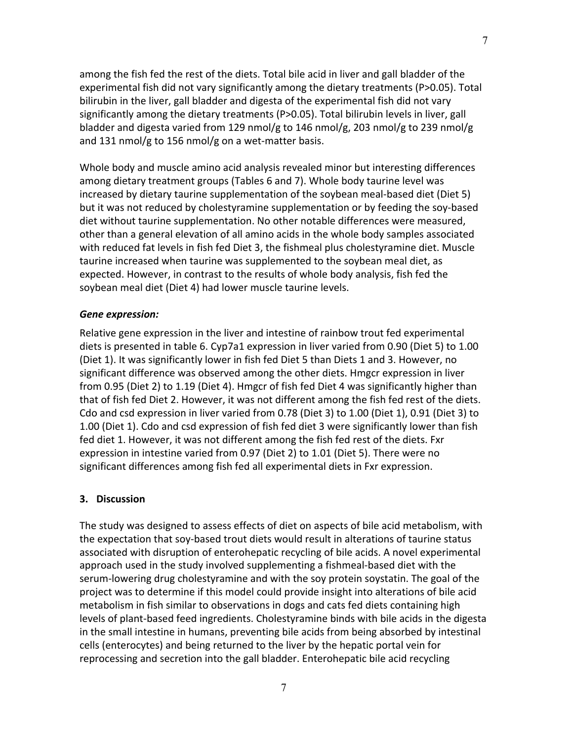among the fish fed the rest of the diets. Total bile acid in liver and gall bladder of the experimental fish did not vary significantly among the dietary treatments (P>0.05). Total bilirubin in the liver, gall bladder and digesta of the experimental fish did not vary significantly among the dietary treatments (P>0.05). Total bilirubin levels in liver, gall bladder and digesta varied from 129 nmol/g to 146 nmol/g, 203 nmol/g to 239 nmol/g and 131 nmol/g to 156 nmol/g on a wet-matter basis.

Whole body and muscle amino acid analysis revealed minor but interesting differences among dietary treatment groups (Tables 6 and 7). Whole body taurine level was increased by dietary taurine supplementation of the soybean meal-based diet (Diet 5) but it was not reduced by cholestyramine supplementation or by feeding the soy-based diet without taurine supplementation. No other notable differences were measured, other than a general elevation of all amino acids in the whole body samples associated with reduced fat levels in fish fed Diet 3, the fishmeal plus cholestyramine diet. Muscle taurine increased when taurine was supplemented to the soybean meal diet, as expected. However, in contrast to the results of whole body analysis, fish fed the soybean meal diet (Diet 4) had lower muscle taurine levels.

## *Gene expression:*

Relative gene expression in the liver and intestine of rainbow trout fed experimental diets is presented in table 6. Cyp7a1 expression in liver varied from 0.90 (Diet 5) to 1.00 (Diet 1). It was significantly lower in fish fed Diet 5 than Diets 1 and 3. However, no significant difference was observed among the other diets. Hmgcr expression in liver from 0.95 (Diet 2) to 1.19 (Diet 4). Hmgcr of fish fed Diet 4 was significantly higher than that of fish fed Diet 2. However, it was not different among the fish fed rest of the diets. Cdo and csd expression in liver varied from 0.78 (Diet 3) to 1.00 (Diet 1), 0.91 (Diet 3) to 1.00 (Diet 1). Cdo and csd expression of fish fed diet 3 were significantly lower than fish fed diet 1. However, it was not different among the fish fed rest of the diets. Fxr expression in intestine varied from 0.97 (Diet 2) to 1.01 (Diet 5). There were no significant differences among fish fed all experimental diets in Fxr expression.

## **3. Discussion**

The study was designed to assess effects of diet on aspects of bile acid metabolism, with the expectation that soy-based trout diets would result in alterations of taurine status associated with disruption of enterohepatic recycling of bile acids. A novel experimental approach used in the study involved supplementing a fishmeal-based diet with the serum-lowering drug cholestyramine and with the soy protein soystatin. The goal of the project was to determine if this model could provide insight into alterations of bile acid metabolism in fish similar to observations in dogs and cats fed diets containing high levels of plant-based feed ingredients. Cholestyramine binds with bile acids in the digesta in the small intestine in humans, preventing bile acids from being absorbed by intestinal cells (enterocytes) and being returned to the liver by the hepatic portal vein for reprocessing and secretion into the gall bladder. Enterohepatic bile acid recycling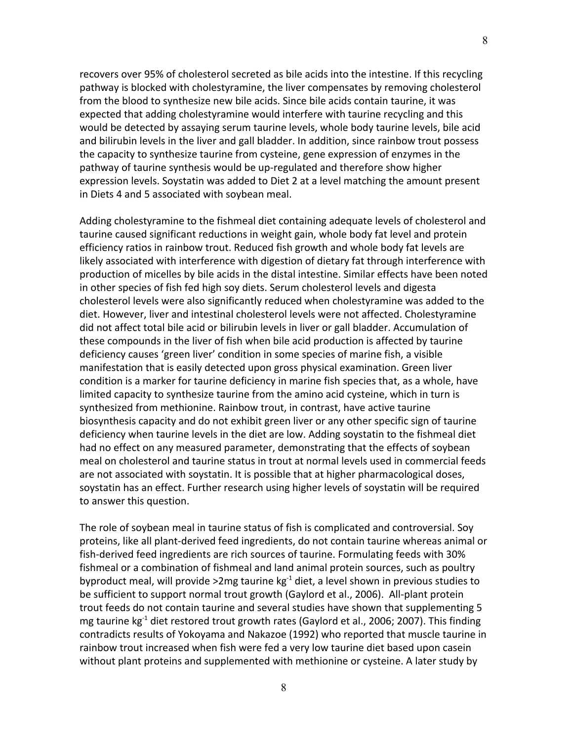recovers over 95% of cholesterol secreted as bile acids into the intestine. If this recycling pathway is blocked with cholestyramine, the liver compensates by removing cholesterol from the blood to synthesize new bile acids. Since bile acids contain taurine, it was expected that adding cholestyramine would interfere with taurine recycling and this would be detected by assaying serum taurine levels, whole body taurine levels, bile acid and bilirubin levels in the liver and gall bladder. In addition, since rainbow trout possess the capacity to synthesize taurine from cysteine, gene expression of enzymes in the pathway of taurine synthesis would be up-regulated and therefore show higher expression levels. Soystatin was added to Diet 2 at a level matching the amount present in Diets 4 and 5 associated with soybean meal.

Adding cholestyramine to the fishmeal diet containing adequate levels of cholesterol and taurine caused significant reductions in weight gain, whole body fat level and protein efficiency ratios in rainbow trout. Reduced fish growth and whole body fat levels are likely associated with interference with digestion of dietary fat through interference with production of micelles by bile acids in the distal intestine. Similar effects have been noted in other species of fish fed high soy diets. Serum cholesterol levels and digesta cholesterol levels were also significantly reduced when cholestyramine was added to the diet. However, liver and intestinal cholesterol levels were not affected. Cholestyramine did not affect total bile acid or bilirubin levels in liver or gall bladder. Accumulation of these compounds in the liver of fish when bile acid production is affected by taurine deficiency causes 'green liver' condition in some species of marine fish, a visible manifestation that is easily detected upon gross physical examination. Green liver condition is a marker for taurine deficiency in marine fish species that, as a whole, have limited capacity to synthesize taurine from the amino acid cysteine, which in turn is synthesized from methionine. Rainbow trout, in contrast, have active taurine biosynthesis capacity and do not exhibit green liver or any other specific sign of taurine deficiency when taurine levels in the diet are low. Adding soystatin to the fishmeal diet had no effect on any measured parameter, demonstrating that the effects of soybean meal on cholesterol and taurine status in trout at normal levels used in commercial feeds are not associated with soystatin. It is possible that at higher pharmacological doses, soystatin has an effect. Further research using higher levels of soystatin will be required to answer this question.

The role of soybean meal in taurine status of fish is complicated and controversial. Soy proteins, like all plant-derived feed ingredients, do not contain taurine whereas animal or fish-derived feed ingredients are rich sources of taurine. Formulating feeds with 30% fishmeal or a combination of fishmeal and land animal protein sources, such as poultry byproduct meal, will provide >2mg taurine kg<sup>-1</sup> diet, a level shown in previous studies to be sufficient to support normal trout growth (Gaylord et al., 2006). All-plant protein trout feeds do not contain taurine and several studies have shown that supplementing 5 mg taurine kg<sup>-1</sup> diet restored trout growth rates (Gaylord et al., 2006; 2007). This finding contradicts results of Yokoyama and Nakazoe (1992) who reported that muscle taurine in rainbow trout increased when fish were fed a very low taurine diet based upon casein without plant proteins and supplemented with methionine or cysteine. A later study by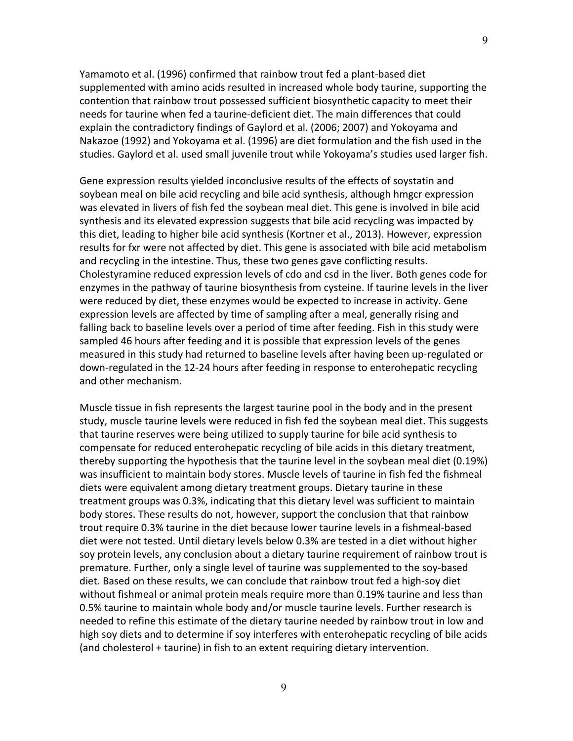Yamamoto et al. (1996) confirmed that rainbow trout fed a plant-based diet supplemented with amino acids resulted in increased whole body taurine, supporting the contention that rainbow trout possessed sufficient biosynthetic capacity to meet their needs for taurine when fed a taurine-deficient diet. The main differences that could explain the contradictory findings of Gaylord et al. (2006; 2007) and Yokoyama and Nakazoe (1992) and Yokoyama et al. (1996) are diet formulation and the fish used in the studies. Gaylord et al. used small juvenile trout while Yokoyama's studies used larger fish.

Gene expression results yielded inconclusive results of the effects of soystatin and soybean meal on bile acid recycling and bile acid synthesis, although hmgcr expression was elevated in livers of fish fed the soybean meal diet. This gene is involved in bile acid synthesis and its elevated expression suggests that bile acid recycling was impacted by this diet, leading to higher bile acid synthesis (Kortner et al., 2013). However, expression results for fxr were not affected by diet. This gene is associated with bile acid metabolism and recycling in the intestine. Thus, these two genes gave conflicting results. Cholestyramine reduced expression levels of cdo and csd in the liver. Both genes code for enzymes in the pathway of taurine biosynthesis from cysteine. If taurine levels in the liver were reduced by diet, these enzymes would be expected to increase in activity. Gene expression levels are affected by time of sampling after a meal, generally rising and falling back to baseline levels over a period of time after feeding. Fish in this study were sampled 46 hours after feeding and it is possible that expression levels of the genes measured in this study had returned to baseline levels after having been up-regulated or down-regulated in the 12-24 hours after feeding in response to enterohepatic recycling and other mechanism.

Muscle tissue in fish represents the largest taurine pool in the body and in the present study, muscle taurine levels were reduced in fish fed the soybean meal diet. This suggests that taurine reserves were being utilized to supply taurine for bile acid synthesis to compensate for reduced enterohepatic recycling of bile acids in this dietary treatment, thereby supporting the hypothesis that the taurine level in the soybean meal diet (0.19%) was insufficient to maintain body stores. Muscle levels of taurine in fish fed the fishmeal diets were equivalent among dietary treatment groups. Dietary taurine in these treatment groups was 0.3%, indicating that this dietary level was sufficient to maintain body stores. These results do not, however, support the conclusion that that rainbow trout require 0.3% taurine in the diet because lower taurine levels in a fishmeal-based diet were not tested. Until dietary levels below 0.3% are tested in a diet without higher soy protein levels, any conclusion about a dietary taurine requirement of rainbow trout is premature. Further, only a single level of taurine was supplemented to the soy-based diet. Based on these results, we can conclude that rainbow trout fed a high-soy diet without fishmeal or animal protein meals require more than 0.19% taurine and less than 0.5% taurine to maintain whole body and/or muscle taurine levels. Further research is needed to refine this estimate of the dietary taurine needed by rainbow trout in low and high soy diets and to determine if soy interferes with enterohepatic recycling of bile acids (and cholesterol + taurine) in fish to an extent requiring dietary intervention.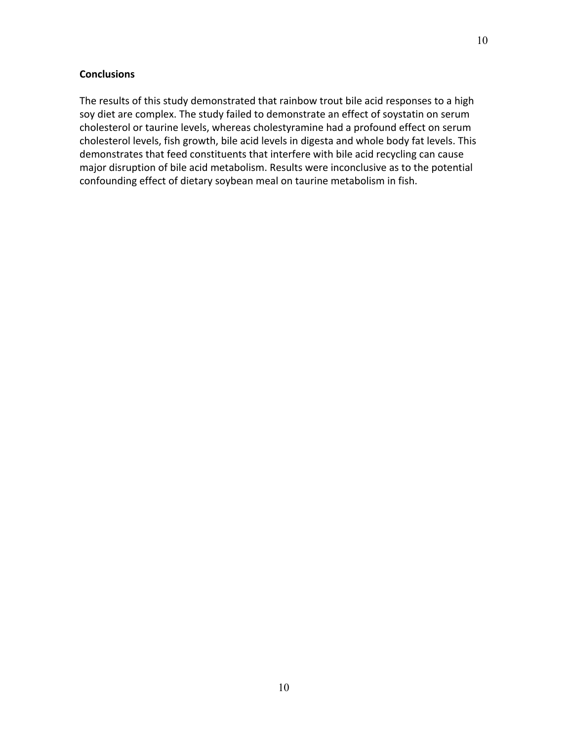## **Conclusions**

The results of this study demonstrated that rainbow trout bile acid responses to a high soy diet are complex. The study failed to demonstrate an effect of soystatin on serum cholesterol or taurine levels, whereas cholestyramine had a profound effect on serum cholesterol levels, fish growth, bile acid levels in digesta and whole body fat levels. This demonstrates that feed constituents that interfere with bile acid recycling can cause major disruption of bile acid metabolism. Results were inconclusive as to the potential confounding effect of dietary soybean meal on taurine metabolism in fish.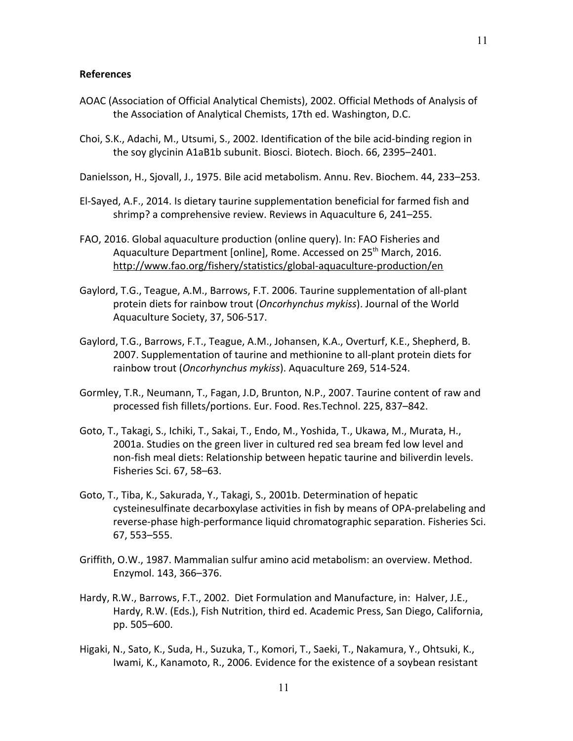#### **References**

- AOAC (Association of Official Analytical Chemists), 2002. Official Methods of Analysis of the Association of Analytical Chemists, 17th ed. Washington, D.C.
- Choi, S.K., Adachi, M., Utsumi, S., 2002. Identification of the bile acid-binding region in the soy glycinin A1aB1b subunit. Biosci. Biotech. Bioch. 66, 2395–2401.

Danielsson, H., Sjovall, J., 1975. Bile acid metabolism. Annu. Rev. Biochem. 44, 233–253.

- El-Sayed, A.F., 2014. Is dietary taurine supplementation beneficial for farmed fish and shrimp? a comprehensive review. Reviews in Aquaculture 6, 241–255.
- FAO, 2016. Global aquaculture production (online query). In: FAO Fisheries and Aquaculture Department [online], Rome. Accessed on 25<sup>th</sup> March, 2016. http://www.fao.org/fishery/statistics/global-aquaculture-production/en
- Gaylord, T.G., Teague, A.M., Barrows, F.T. 2006. Taurine supplementation of all-plant protein diets for rainbow trout (*Oncorhynchus mykiss*). Journal of the World Aquaculture Society, 37, 506-517.
- Gaylord, T.G., Barrows, F.T., Teague, A.M., Johansen, K.A., Overturf, K.E., Shepherd, B. 2007. Supplementation of taurine and methionine to all-plant protein diets for rainbow trout (*Oncorhynchus mykiss*). Aquaculture 269, 514-524.
- Gormley, T.R., Neumann, T., Fagan, J.D, Brunton, N.P., 2007. Taurine content of raw and processed fish fillets/portions. Eur. Food. Res.Technol. 225, 837–842.
- Goto, T., Takagi, S., Ichiki, T., Sakai, T., Endo, M., Yoshida, T., Ukawa, M., Murata, H., 2001a. Studies on the green liver in cultured red sea bream fed low level and non-fish meal diets: Relationship between hepatic taurine and biliverdin levels. Fisheries Sci. 67, 58–63.
- Goto, T., Tiba, K., Sakurada, Y., Takagi, S., 2001b. Determination of hepatic cysteinesulfinate decarboxylase activities in fish by means of OPA-prelabeling and reverse-phase high-performance liquid chromatographic separation. Fisheries Sci. 67, 553–555.
- Griffith, O.W., 1987. Mammalian sulfur amino acid metabolism: an overview. Method. Enzymol. 143, 366–376.
- Hardy, R.W., Barrows, F.T., 2002. Diet Formulation and Manufacture, in: Halver, J.E., Hardy, R.W. (Eds.), Fish Nutrition, third ed. Academic Press, San Diego, California, pp. 505–600.
- Higaki, N., Sato, K., Suda, H., Suzuka, T., Komori, T., Saeki, T., Nakamura, Y., Ohtsuki, K., Iwami, K., Kanamoto, R., 2006. Evidence for the existence of a soybean resistant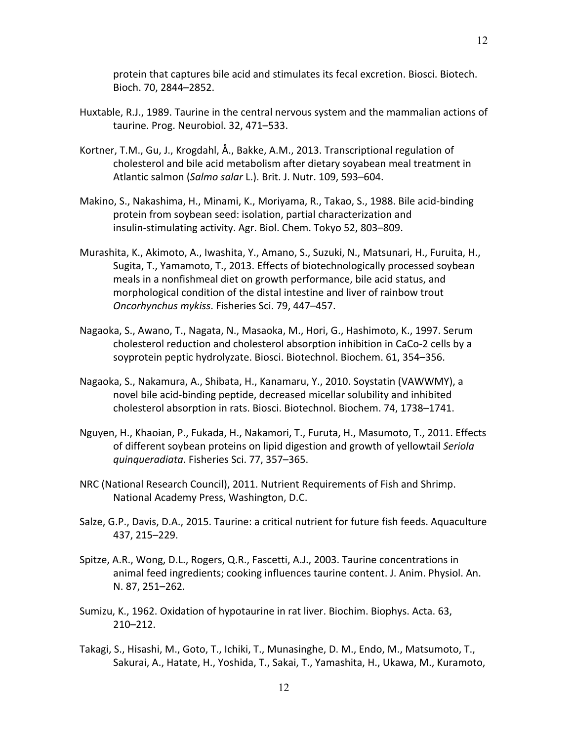- Huxtable, R.J., 1989. Taurine in the central nervous system and the mammalian actions of taurine. Prog. Neurobiol. 32, 471–533.
- Kortner, T.M., Gu, J., Krogdahl, Å., Bakke, A.M., 2013. Transcriptional regulation of cholesterol and bile acid metabolism after dietary soyabean meal treatment in Atlantic salmon (*Salmo salar* L.). Brit. J. Nutr. 109, 593–604.
- Makino, S., Nakashima, H., Minami, K., Moriyama, R., Takao, S., 1988. Bile acid-binding protein from soybean seed: isolation, partial characterization and insulin-stimulating activity. Agr. Biol. Chem. Tokyo 52, 803–809.
- Murashita, K., Akimoto, A., Iwashita, Y., Amano, S., Suzuki, N., Matsunari, H., Furuita, H., Sugita, T., Yamamoto, T., 2013. Effects of biotechnologically processed soybean meals in a nonfishmeal diet on growth performance, bile acid status, and morphological condition of the distal intestine and liver of rainbow trout *Oncorhynchus mykiss*. Fisheries Sci. 79, 447–457.
- Nagaoka, S., Awano, T., Nagata, N., Masaoka, M., Hori, G., Hashimoto, K., 1997. Serum cholesterol reduction and cholesterol absorption inhibition in CaCo-2 cells by a soyprotein peptic hydrolyzate. Biosci. Biotechnol. Biochem. 61, 354–356.
- Nagaoka, S., Nakamura, A., Shibata, H., Kanamaru, Y., 2010. Soystatin (VAWWMY), a novel bile acid-binding peptide, decreased micellar solubility and inhibited cholesterol absorption in rats. Biosci. Biotechnol. Biochem. 74, 1738–1741.
- Nguyen, H., Khaoian, P., Fukada, H., Nakamori, T., Furuta, H., Masumoto, T., 2011. Effects of different soybean proteins on lipid digestion and growth of yellowtail *Seriola quinqueradiata*. Fisheries Sci. 77, 357–365.
- NRC (National Research Council), 2011. Nutrient Requirements of Fish and Shrimp. National Academy Press, Washington, D.C.
- Salze, G.P., Davis, D.A., 2015. Taurine: a critical nutrient for future fish feeds. Aquaculture 437, 215–229.
- Spitze, A.R., Wong, D.L., Rogers, Q.R., Fascetti, A.J., 2003. Taurine concentrations in animal feed ingredients; cooking influences taurine content. J. Anim. Physiol. An. N. 87, 251–262.
- Sumizu, K., 1962. Oxidation of hypotaurine in rat liver. Biochim. Biophys. Acta. 63, 210–212.
- Takagi, S., Hisashi, M., Goto, T., Ichiki, T., Munasinghe, D. M., Endo, M., Matsumoto, T., Sakurai, A., Hatate, H., Yoshida, T., Sakai, T., Yamashita, H., Ukawa, M., Kuramoto,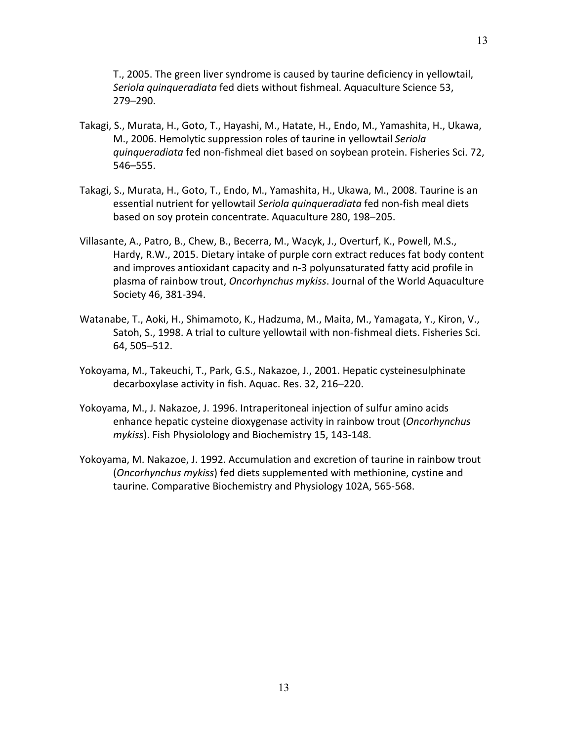T., 2005. The green liver syndrome is caused by taurine deficiency in yellowtail, *Seriola quinqueradiata* fed diets without fishmeal. Aquaculture Science 53, 279–290.

- Takagi, S., Murata, H., Goto, T., Hayashi, M., Hatate, H., Endo, M., Yamashita, H., Ukawa, M., 2006. Hemolytic suppression roles of taurine in yellowtail *Seriola quinqueradiata* fed non-fishmeal diet based on soybean protein. Fisheries Sci. 72, 546–555.
- Takagi, S., Murata, H., Goto, T., Endo, M., Yamashita, H., Ukawa, M., 2008. Taurine is an essential nutrient for yellowtail *Seriola quinqueradiata* fed non-fish meal diets based on soy protein concentrate. Aquaculture 280, 198–205.
- Villasante, A., Patro, B., Chew, B., Becerra, M., Wacyk, J., Overturf, K., Powell, M.S., Hardy, R.W., 2015. Dietary intake of purple corn extract reduces fat body content and improves antioxidant capacity and n-3 polyunsaturated fatty acid profile in plasma of rainbow trout, *Oncorhynchus mykiss*. Journal of the World Aquaculture Society 46, 381-394.
- Watanabe, T., Aoki, H., Shimamoto, K., Hadzuma, M., Maita, M., Yamagata, Y., Kiron, V., Satoh, S., 1998. A trial to culture yellowtail with non-fishmeal diets. Fisheries Sci. 64, 505–512.
- Yokoyama, M., Takeuchi, T., Park, G.S., Nakazoe, J., 2001. Hepatic cysteinesulphinate decarboxylase activity in fish. Aquac. Res. 32, 216–220.
- Yokoyama, M., J. Nakazoe, J. 1996. Intraperitoneal injection of sulfur amino acids enhance hepatic cysteine dioxygenase activity in rainbow trout (*Oncorhynchus mykiss*). Fish Physiolology and Biochemistry 15, 143-148.
- Yokoyama, M. Nakazoe, J. 1992. Accumulation and excretion of taurine in rainbow trout (*Oncorhynchus mykiss*) fed diets supplemented with methionine, cystine and taurine. Comparative Biochemistry and Physiology 102A, 565-568.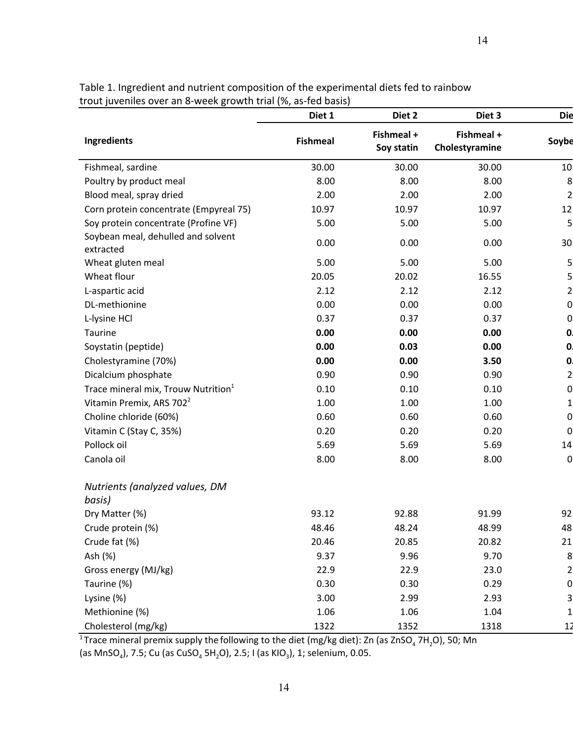14

|                                                 | Diet 1          | Diet 2                   | Diet 3                       | <b>Die</b>     |
|-------------------------------------------------|-----------------|--------------------------|------------------------------|----------------|
| Ingredients                                     | <b>Fishmeal</b> | Fishmeal +<br>Soy statin | Fishmeal +<br>Cholestyramine | Soybe          |
| Fishmeal, sardine                               | 30.00           | 30.00                    | 30.00                        | 10             |
| Poultry by product meal                         | 8.00            | 8.00                     | 8.00                         | 8              |
| Blood meal, spray dried                         | 2.00            | 2.00                     | 2.00                         | $\overline{2}$ |
| Corn protein concentrate (Empyreal 75)          | 10.97           | 10.97                    | 10.97                        | 12             |
| Soy protein concentrate (Profine VF)            | 5.00            | 5.00                     | 5.00                         | 5 <sup>1</sup> |
| Soybean meal, dehulled and solvent<br>extracted | 0.00            | 0.00                     | 0.00                         | 30             |
| Wheat gluten meal                               | 5.00            | 5.00                     | 5.00                         | $5 \mid$       |
| Wheat flour                                     | 20.05           | 20.02                    | 16.55                        | $\overline{5}$ |
| L-aspartic acid                                 | 2.12            | 2.12                     | 2.12                         | $\overline{2}$ |
| DL-methionine                                   | 0.00            | 0.00                     | 0.00                         | $\overline{0}$ |
| L-lysine HCl                                    | 0.37            | 0.37                     | 0.37                         | $\overline{0}$ |
| Taurine                                         | 0.00            | 0.00                     | 0.00                         | $\mathbf{0}$   |
| Soystatin (peptide)                             | 0.00            | 0.03                     | 0.00                         | $\mathbf{0}$   |
| Cholestyramine (70%)                            | 0.00            | 0.00                     | 3.50                         | $\mathbf{0}$   |
| Dicalcium phosphate                             | 0.90            | 0.90                     | 0.90                         | $\overline{2}$ |
| Trace mineral mix, Trouw Nutrition <sup>1</sup> | 0.10            | 0.10                     | 0.10                         | 0              |
| Vitamin Premix, ARS 702 <sup>2</sup>            | 1.00            | 1.00                     | 1.00                         | $1\vert$       |
| Choline chloride (60%)                          | 0.60            | 0.60                     | 0.60                         | $\overline{0}$ |
| Vitamin C (Stay C, 35%)                         | 0.20            | 0.20                     | 0.20                         | $\overline{0}$ |
| Pollock oil                                     | 5.69            | 5.69                     | 5.69                         | 14             |
| Canola oil                                      | 8.00            | 8.00                     | 8.00                         | $\overline{0}$ |
| Nutrients (analyzed values, DM<br>basis)        |                 |                          |                              |                |
| Dry Matter (%)                                  | 93.12           | 92.88                    | 91.99                        | 92             |
| Crude protein (%)                               | 48.46           | 48.24                    | 48.99                        | 48             |
| Crude fat (%)                                   | 20.46           | 20.85                    | 20.82                        | 21             |
| Ash (%)                                         | 9.37            | 9.96                     | 9.70                         | 8              |
| Gross energy (MJ/kg)                            | 22.9            | 22.9                     | 23.0                         | $\mathsf{2}$   |
| Taurine (%)                                     | 0.30            | 0.30                     | 0.29                         | 0              |
| Lysine (%)                                      | 3.00            | 2.99                     | 2.93                         | 3              |
| Methionine (%)                                  | 1.06            | 1.06                     | 1.04                         | $\mathbf{1}$   |
| Cholesterol (mg/kg)                             | 1322            | 1352                     | 1318                         | 12             |

Table 1. Ingredient and nutrient composition of the experimental diets fed to rainbow trout juveniles over an 8-week growth trial (%, as-fed basis)

<sup>1</sup> Trace mineral premix supply the following to the diet (mg/kg diet): Zn (as ZnSO<sub>4</sub> 7H<sub>2</sub>O), 50; Mn (as MnSO<sub>4</sub>), 7.5; Cu (as CuSO<sub>4</sub> 5H<sub>2</sub>O), 2.5; I (as KIO<sub>3</sub>), 1; selenium, 0.05.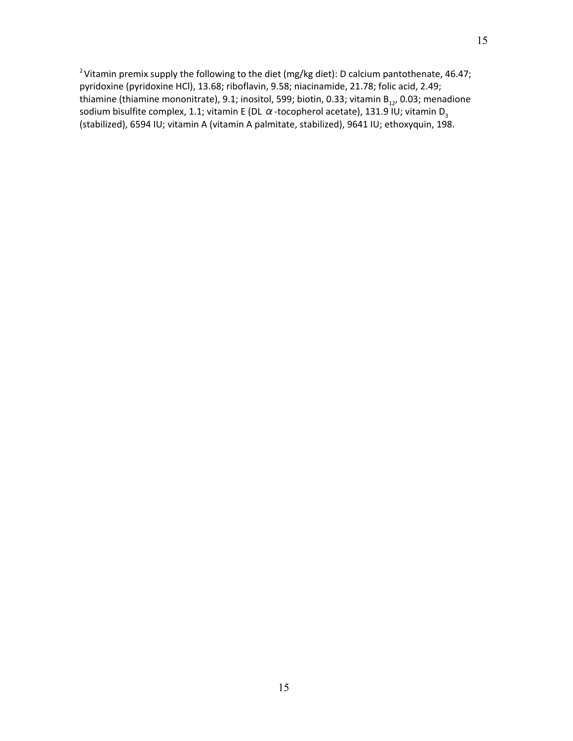<sup>2</sup> Vitamin premix supply the following to the diet (mg/kg diet): D calcium pantothenate, 46.47; pyridoxine (pyridoxine HCl), 13.68; riboflavin, 9.58; niacinamide, 21.78; folic acid, 2.49; thiamine (thiamine mononitrate), 9.1; inositol, 599; biotin, 0.33; vitamin  $B_{12}$ , 0.03; menadione sodium bisulfite complex, 1.1; vitamin E (DL  $\alpha$ -tocopherol acetate), 131.9 IU; vitamin D<sub>3</sub> (stabilized), 6594 IU; vitamin A (vitamin A palmitate, stabilized), 9641 IU; ethoxyquin, 198.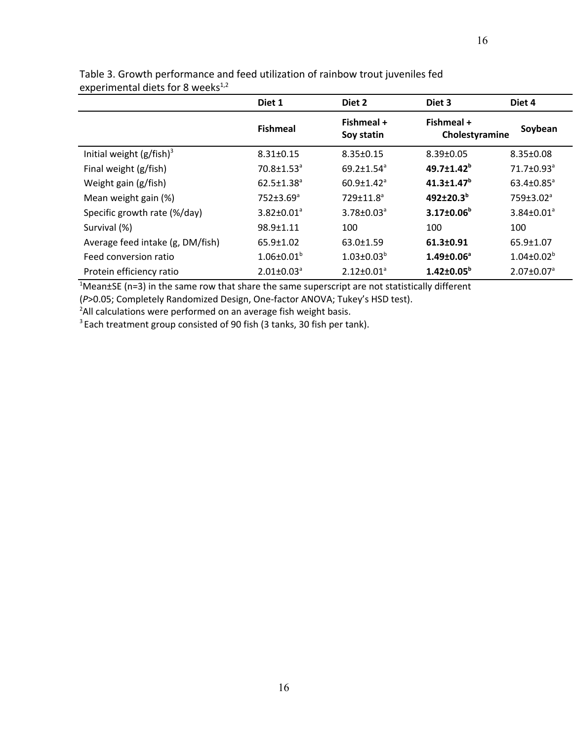| . .                              | Diet 1                       | Diet 2                       | Diet 3                       | Diet 4                       |
|----------------------------------|------------------------------|------------------------------|------------------------------|------------------------------|
|                                  | <b>Fishmeal</b>              | Fishmeal +<br>Soy statin     | Fishmeal +<br>Cholestyramine | Soybean                      |
| Initial weight $(g/fish)^3$      | $8.31 \pm 0.15$              | $8.35 \pm 0.15$              | $8.39 \pm 0.05$              | $8.35 \pm 0.08$              |
| Final weight (g/fish)            | $70.8 \pm 1.53$ <sup>a</sup> | $69.2 \pm 1.54^a$            | $49.7 \pm 1.42^b$            | 71.7±0.93 <sup>a</sup>       |
| Weight gain (g/fish)             | $62.5 \pm 1.38$ <sup>a</sup> | $60.9 \pm 1.42$ <sup>a</sup> | $41.3 \pm 1.47$ <sup>b</sup> | $63.4 \pm 0.85$ <sup>a</sup> |
| Mean weight gain (%)             | $752 \pm 3.69$ <sup>a</sup>  | 729±11.8 <sup>a</sup>        | 492±20.3 <sup>b</sup>        | 759±3.02 <sup>a</sup>        |
| Specific growth rate (%/day)     | $3.82 \pm 0.01^a$            | $3.78 \pm 0.03^{\circ}$      | $3.17 \pm 0.06^b$            | $3.84 \pm 0.01^a$            |
| Survival (%)                     | $98.9 \pm 1.11$              | 100                          | 100                          | 100                          |
| Average feed intake (g, DM/fish) | $65.9 \pm 1.02$              | $63.0 \pm 1.59$              | 61.3±0.91                    | $65.9 \pm 1.07$              |
| Feed conversion ratio            | $1.06 \pm 0.01^b$            | $1.03 \pm 0.03^b$            | $1.49 \pm 0.06^a$            | $1.04 \pm 0.02^b$            |
| Protein efficiency ratio         | $2.01 \pm 0.03$ <sup>a</sup> | $2.12 \pm 0.01^a$            | $1.42 \pm 0.05^b$            | $2.07 \pm 0.07$ <sup>a</sup> |

Table 3. Growth performance and feed utilization of rainbow trout juveniles fed experimental diets for 8 weeks $^{1,2}$ 

 $1$ Mean $\pm$ SE (n=3) in the same row that share the same superscript are not statistically different

(*P*>0.05; Completely Randomized Design, One-factor ANOVA; Tukey's HSD test).

<sup>2</sup>All calculations were performed on an average fish weight basis.

<sup>3</sup> Each treatment group consisted of 90 fish (3 tanks, 30 fish per tank).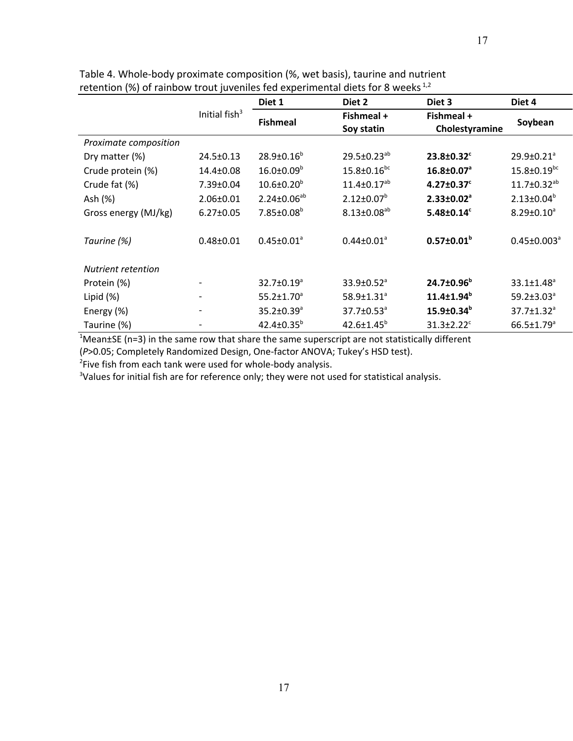| Table 4. Whole-body proximate composition (%, wet basis), taurine and nutrient       |
|--------------------------------------------------------------------------------------|
| retention (%) of rainbow trout juveniles fed experimental diets for 8 weeks $^{1,2}$ |

|                           |                              | Diet 1                       | Diet 2                       | Diet 3                       | Diet 4                        |
|---------------------------|------------------------------|------------------------------|------------------------------|------------------------------|-------------------------------|
|                           | Initial fish $3$             | <b>Fishmeal</b>              | Fishmeal +<br>Soy statin     | Fishmeal +<br>Cholestyramine | Soybean                       |
| Proximate composition     |                              |                              |                              |                              |                               |
| Dry matter (%)            | $24.5 \pm 0.13$              | $28.9 \pm 0.16^b$            | $29.5 \pm 0.23^{ab}$         | 23.8±0.32 <sup>c</sup>       | $29.9 \pm 0.21$ <sup>a</sup>  |
| Crude protein (%)         | 14.4±0.08                    | $16.0 \pm 0.09^b$            | $15.8 \pm 0.16^{bc}$         | 16.8±0.07 <sup>a</sup>       | $15.8 \pm 0.19$ <sup>bc</sup> |
| Crude fat (%)             | 7.39±0.04                    | $10.6 \pm 0.20^b$            | $11.4 \pm 0.17^{ab}$         | $4.27 \pm 0.37$ <sup>c</sup> | $11.7 \pm 0.32^{ab}$          |
| Ash (%)                   | $2.06 \pm 0.01$              | $2.24 \pm 0.06^{ab}$         | $2.12 \pm 0.07^b$            | $2.33 \pm 0.02$ <sup>a</sup> | $2.13 \pm 0.04^b$             |
| Gross energy (MJ/kg)      | $6.27 \pm 0.05$              | $7.85 \pm 0.08^b$            | $8.13 \pm 0.08^{ab}$         | $5.48 \pm 0.14^c$            | $8.29 \pm 0.10^a$             |
| Taurine (%)               | $0.48 \pm 0.01$              | $0.45 \pm 0.01^a$            | $0.44 \pm 0.01^a$            | $0.57 \pm 0.01^b$            | $0.45 \pm 0.003^a$            |
| <b>Nutrient retention</b> |                              |                              |                              |                              |                               |
| Protein (%)               | $\overline{\phantom{a}}$     | $32.7 \pm 0.19^a$            | $33.9 \pm 0.52$ <sup>a</sup> | $24.7 \pm 0.96^b$            | $33.1 \pm 1.48$ <sup>a</sup>  |
| Lipid (%)                 | $\overline{\phantom{a}}$     | $55.2 \pm 1.70^a$            | 58.9±1.31 <sup>ª</sup>       | $11.4 \pm 1.94$ <sup>b</sup> | $59.2 \pm 3.03^{\circ}$       |
| Energy (%)                | -                            | $35.2 \pm 0.39$ <sup>a</sup> | 37.7±0.53 <sup>a</sup>       | 15.9±0.34 <sup>b</sup>       | $37.7 \pm 1.32$ <sup>a</sup>  |
| Taurine (%)               | $\qquad \qquad \blacksquare$ | $42.4 \pm 0.35^b$            | $42.6 \pm 1.45^b$            | $31.3 \pm 2.22$ <sup>c</sup> | $66.5 \pm 1.79$ <sup>a</sup>  |

 $1$ Mean $\pm$ SE (n=3) in the same row that share the same superscript are not statistically different

(*P*>0.05; Completely Randomized Design, One-factor ANOVA; Tukey's HSD test).

<sup>2</sup>Five fish from each tank were used for whole-body analysis.

<sup>3</sup>Values for initial fish are for reference only; they were not used for statistical analysis.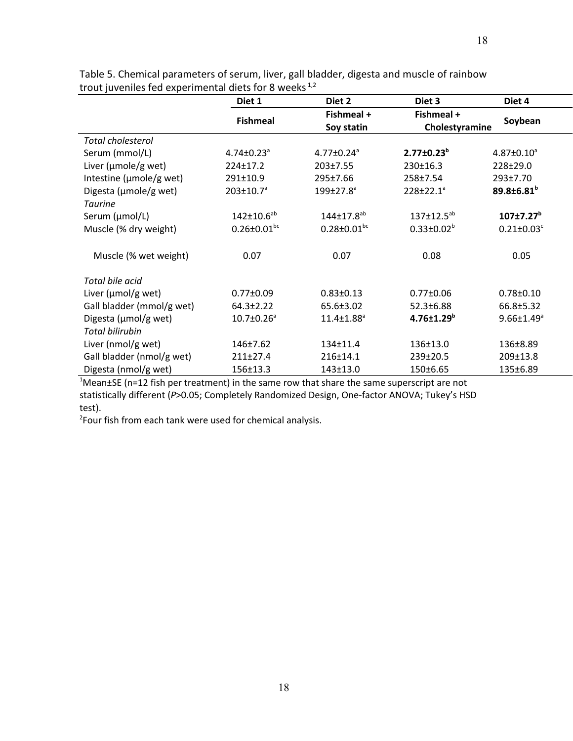|                           | Diet 1                       | Diet 2                        | Diet 3                | Diet 4                       |
|---------------------------|------------------------------|-------------------------------|-----------------------|------------------------------|
|                           | <b>Fishmeal</b>              | Fishmeal +                    | Fishmeal +            | Soybean                      |
|                           |                              | Soy statin                    | Cholestyramine        |                              |
| <b>Total cholesterol</b>  |                              |                               |                       |                              |
| Serum (mmol/L)            | $4.74 \pm 0.23$ <sup>a</sup> | $4.77 \pm 0.24$ <sup>a</sup>  | $2.77 \pm 0.23^b$     | $4.87 \pm 0.10^a$            |
| Liver ( $\mu$ mole/g wet) | 224±17.2                     | 203±7.55                      | 230±16.3              | 228±29.0                     |
| Intestine (µmole/g wet)   | 291±10.9                     | 295±7.66                      | 258±7.54              | 293±7.70                     |
| Digesta (µmole/g wet)     | $203 \pm 10.7$ <sup>a</sup>  | $199 \pm 27.8$ <sup>a</sup>   | 228±22.1 <sup>a</sup> | 89.8±6.81 <sup>b</sup>       |
| <b>Taurine</b>            |                              |                               |                       |                              |
| Serum (µmol/L)            | $142 \pm 10.6^{ab}$          | 144±17.8 <sup>ab</sup>        | $137 \pm 12.5^{ab}$   | $107 + 7.27$ <sup>b</sup>    |
| Muscle (% dry weight)     | $0.26 \pm 0.01^{bc}$         | $0.28 \pm 0.01$ <sup>bc</sup> | $0.33 \pm 0.02^b$     | $0.21 \pm 0.03$ <sup>c</sup> |
|                           |                              |                               |                       |                              |
| Muscle (% wet weight)     | 0.07                         | 0.07                          | 0.08                  | 0.05                         |
|                           |                              |                               |                       |                              |
| Total bile acid           |                              |                               |                       |                              |
| Liver (µmol/g wet)        | $0.77 \pm 0.09$              | $0.83 \pm 0.13$               | $0.77 \pm 0.06$       | $0.78 \pm 0.10$              |
| Gall bladder (mmol/g wet) | $64.3 \pm 2.22$              | 65.6±3.02                     | 52.3±6.88             | 66.8±5.32                    |
| Digesta (µmol/g wet)      | $10.7 \pm 0.26^a$            | $11.4 \pm 1.88$ <sup>a</sup>  | $4.76 \pm 1.29^b$     | $9.66 \pm 1.49^a$            |
| <b>Total bilirubin</b>    |                              |                               |                       |                              |
| Liver (nmol/g wet)        | $146 \pm 7.62$               | 134±11.4                      | 136±13.0              | 136±8.89                     |
| Gall bladder (nmol/g wet) | 211±27.4                     | 216±14.1                      | 239±20.5              | 209±13.8                     |
| Digesta (nmol/g wet)      | 156±13.3                     | 143±13.0                      | 150±6.65              | 135±6.89                     |

Table 5. Chemical parameters of serum, liver, gall bladder, digesta and muscle of rainbow trout juveniles fed experimental diets for 8 weeks  $1,2$ 

 $1$ Mean $\pm$ SE (n=12 fish per treatment) in the same row that share the same superscript are not statistically different (*P*>0.05; Completely Randomized Design, One-factor ANOVA; Tukey's HSD test).

<sup>2</sup>Four fish from each tank were used for chemical analysis.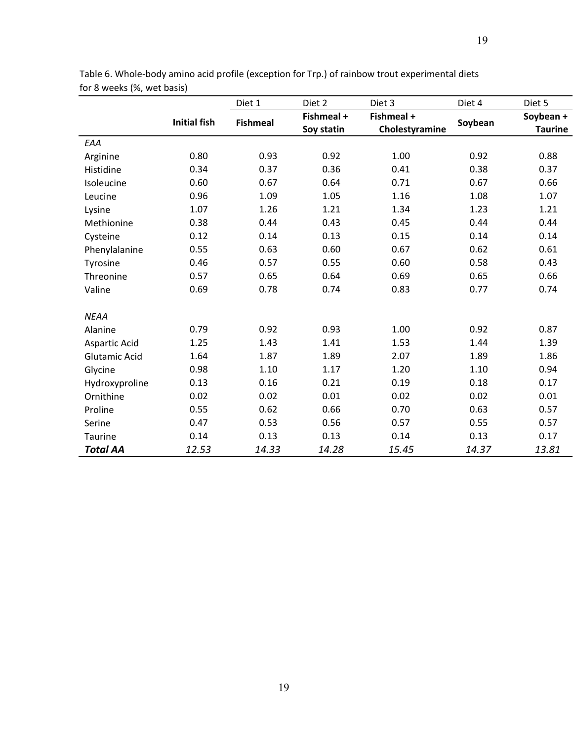|                      |                     | Diet 1          | Diet 2                   | Diet 3                       | Diet 4  | Diet 5                      |
|----------------------|---------------------|-----------------|--------------------------|------------------------------|---------|-----------------------------|
|                      | <b>Initial fish</b> | <b>Fishmeal</b> | Fishmeal +<br>Soy statin | Fishmeal +<br>Cholestyramine | Soybean | Soybean +<br><b>Taurine</b> |
| EAA                  |                     |                 |                          |                              |         |                             |
| Arginine             | 0.80                | 0.93            | 0.92                     | 1.00                         | 0.92    | 0.88                        |
| Histidine            | 0.34                | 0.37            | 0.36                     | 0.41                         | 0.38    | 0.37                        |
| Isoleucine           | 0.60                | 0.67            | 0.64                     | 0.71                         | 0.67    | 0.66                        |
| Leucine              | 0.96                | 1.09            | 1.05                     | 1.16                         | 1.08    | 1.07                        |
| Lysine               | 1.07                | 1.26            | 1.21                     | 1.34                         | 1.23    | 1.21                        |
| Methionine           | 0.38                | 0.44            | 0.43                     | 0.45                         | 0.44    | 0.44                        |
| Cysteine             | 0.12                | 0.14            | 0.13                     | 0.15                         | 0.14    | 0.14                        |
| Phenylalanine        | 0.55                | 0.63            | 0.60                     | 0.67                         | 0.62    | 0.61                        |
| Tyrosine             | 0.46                | 0.57            | 0.55                     | 0.60                         | 0.58    | 0.43                        |
| Threonine            | 0.57                | 0.65            | 0.64                     | 0.69                         | 0.65    | 0.66                        |
| Valine               | 0.69                | 0.78            | 0.74                     | 0.83                         | 0.77    | 0.74                        |
| <b>NEAA</b>          |                     |                 |                          |                              |         |                             |
| Alanine              | 0.79                | 0.92            | 0.93                     | 1.00                         | 0.92    | 0.87                        |
| Aspartic Acid        | 1.25                | 1.43            | 1.41                     | 1.53                         | 1.44    | 1.39                        |
| <b>Glutamic Acid</b> | 1.64                | 1.87            | 1.89                     | 2.07                         | 1.89    | 1.86                        |
| Glycine              | 0.98                | 1.10            | 1.17                     | 1.20                         | 1.10    | 0.94                        |
| Hydroxyproline       | 0.13                | 0.16            | 0.21                     | 0.19                         | 0.18    | 0.17                        |
| Ornithine            | 0.02                | 0.02            | 0.01                     | 0.02                         | 0.02    | 0.01                        |
| Proline              | 0.55                | 0.62            | 0.66                     | 0.70                         | 0.63    | 0.57                        |
| Serine               | 0.47                | 0.53            | 0.56                     | 0.57                         | 0.55    | 0.57                        |
| <b>Taurine</b>       | 0.14                | 0.13            | 0.13                     | 0.14                         | 0.13    | 0.17                        |
| <b>Total AA</b>      | 12.53               | 14.33           | 14.28                    | 15.45                        | 14.37   | 13.81                       |

Table 6. Whole-body amino acid profile (exception for Trp.) of rainbow trout experimental diets for 8 weeks (%, wet basis)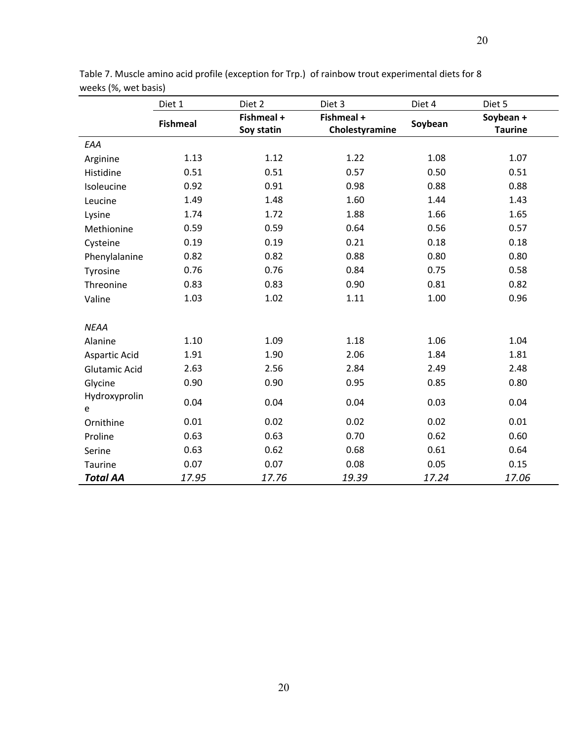|                      | Diet 1          | Diet 2     | Diet 3         | Diet 4  | Diet 5         |
|----------------------|-----------------|------------|----------------|---------|----------------|
|                      | <b>Fishmeal</b> | Fishmeal + | Fishmeal +     | Soybean | Soybean +      |
|                      |                 | Soy statin | Cholestyramine |         | <b>Taurine</b> |
| EAA                  |                 |            |                |         |                |
| Arginine             | 1.13            | 1.12       | 1.22           | 1.08    | 1.07           |
| Histidine            | 0.51            | 0.51       | 0.57           | 0.50    | 0.51           |
| Isoleucine           | 0.92            | 0.91       | 0.98           | 0.88    | 0.88           |
| Leucine              | 1.49            | 1.48       | 1.60           | 1.44    | 1.43           |
| Lysine               | 1.74            | 1.72       | 1.88           | 1.66    | 1.65           |
| Methionine           | 0.59            | 0.59       | 0.64           | 0.56    | 0.57           |
| Cysteine             | 0.19            | 0.19       | 0.21           | 0.18    | 0.18           |
| Phenylalanine        | 0.82            | 0.82       | 0.88           | 0.80    | 0.80           |
| Tyrosine             | 0.76            | 0.76       | 0.84           | 0.75    | 0.58           |
| Threonine            | 0.83            | 0.83       | 0.90           | 0.81    | 0.82           |
| Valine               | 1.03            | 1.02       | 1.11           | 1.00    | 0.96           |
| <b>NEAA</b>          |                 |            |                |         |                |
| Alanine              | 1.10            | 1.09       | 1.18           | 1.06    | 1.04           |
| Aspartic Acid        | 1.91            | 1.90       | 2.06           | 1.84    | 1.81           |
|                      | 2.63            | 2.56       | 2.84           | 2.49    | 2.48           |
| <b>Glutamic Acid</b> |                 |            |                |         |                |
| Glycine              | 0.90            | 0.90       | 0.95           | 0.85    | 0.80           |
| Hydroxyprolin<br>e   | 0.04            | 0.04       | 0.04           | 0.03    | 0.04           |
| Ornithine            | 0.01            | 0.02       | 0.02           | 0.02    | 0.01           |
| Proline              | 0.63            | 0.63       | 0.70           | 0.62    | 0.60           |
| Serine               | 0.63            | 0.62       | 0.68           | 0.61    | 0.64           |
| Taurine              | 0.07            | 0.07       | 0.08           | 0.05    | 0.15           |
| <b>Total AA</b>      | 17.95           | 17.76      | 19.39          | 17.24   | 17.06          |

Table 7. Muscle amino acid profile (exception for Trp.) of rainbow trout experimental diets for 8 weeks (%, wet basis)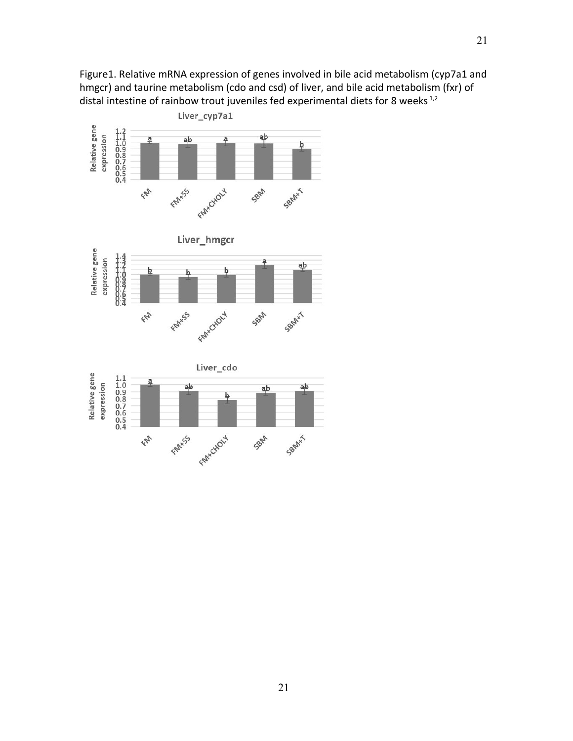Figure1. Relative mRNA expression of genes involved in bile acid metabolism (cyp7a1 and hmgcr) and taurine metabolism (cdo and csd) of liver, and bile acid metabolism (fxr) of distal intestine of rainbow trout juveniles fed experimental diets for 8 weeks<sup>1,2</sup>